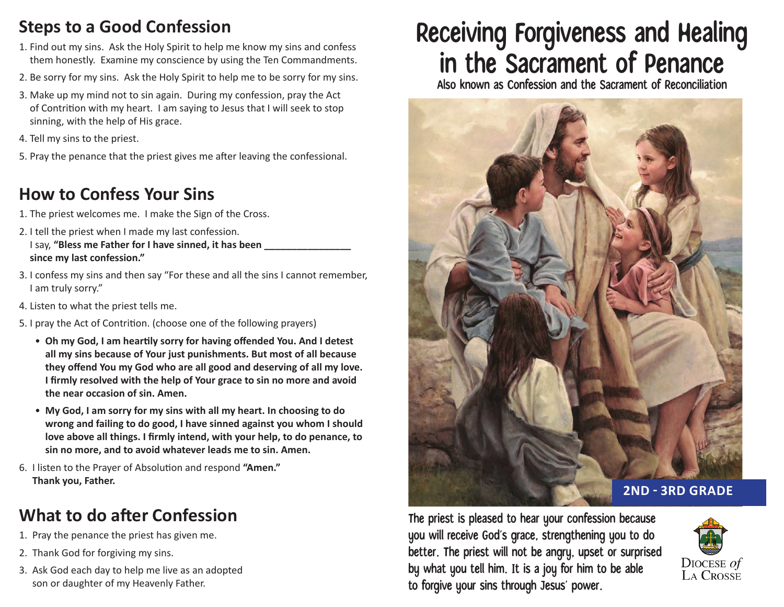## **Steps to a Good Confession**

- 1. Find out my sins. Ask the Holy Spirit to help me know my sins and confess them honestly. Examine my conscience by using the Ten Commandments.
- 2. Be sorry for my sins. Ask the Holy Spirit to help me to be sorry for my sins.
- 3. Make up my mind not to sin again. During my confession, pray the Act of Contrition with my heart. I am saying to Jesus that I will seek to stop sinning, with the help of His grace.
- 4. Tell my sins to the priest.
- 5. Pray the penance that the priest gives me after leaving the confessional.

## **How to Confess Your Sins**

- 1. The priest welcomes me. I make the Sign of the Cross.
- 2. I tell the priest when I made my last confession. I say, "Bless me Father for I have sinned, it has been **since my last confession."**
- 3. I confess my sins and then say "For these and all the sins I cannot remember, I am truly sorry."
- 4. Listen to what the priest tells me.
- 5. I pray the Act of Contrition. (choose one of the following prayers)
	- **Oh my God, I am heartily sorry for having offended You. And I detest all my sins because of Your just punishments. But most of all because they offend You my God who are all good and deserving of all my love. I firmly resolved with the help of Your grace to sin no more and avoid the near occasion of sin. Amen.**
	- **My God, I am sorry for my sins with all my heart. In choosing to do wrong and failing to do good, I have sinned against you whom I should love above all things. I firmly intend, with your help, to do penance, to sin no more, and to avoid whatever leads me to sin. Amen.**
- 6. I listen to the Prayer of Absolution and respond **"Amen." Thank you, Father.**

## **What to do after Confession**

- 1. Pray the penance the priest has given me.
- 2. Thank God for forgiving my sins.
- 3. Ask God each day to help me live as an adopted son or daughter of my Heavenly Father.

# Receiving Forgiveness and Healing in the Sacrament of Penance

Also known as Confession and the Sacrament of Reconciliation



The priest is pleased to hear your confession because you will receive God's grace, strengthening you to do better. The priest will not be angry, upset or surprised by what you tell him. It is a joy for him to be able to forgive your sins through Jesus' power.